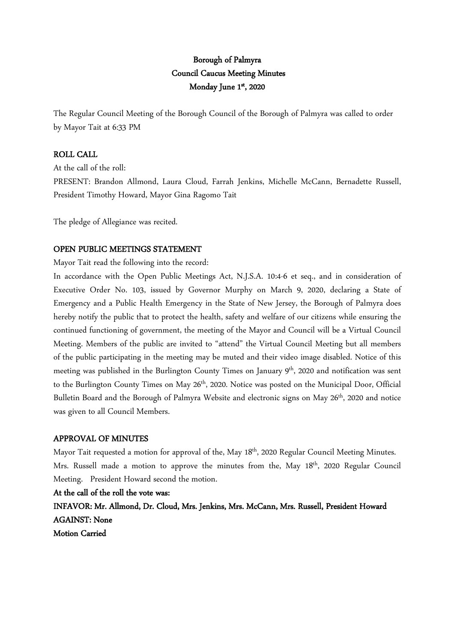# Borough of Palmyra Council Caucus Meeting Minutes Monday June 1st, 2020

The Regular Council Meeting of the Borough Council of the Borough of Palmyra was called to order by Mayor Tait at 6:33 PM

# ROLL CALL

At the call of the roll: PRESENT: Brandon Allmond, Laura Cloud, Farrah Jenkins, Michelle McCann, Bernadette Russell, President Timothy Howard, Mayor Gina Ragomo Tait

The pledge of Allegiance was recited.

# OPEN PUBLIC MEETINGS STATEMENT

Mayor Tait read the following into the record:

In accordance with the Open Public Meetings Act, N.J.S.A. 10:4-6 et seq., and in consideration of Executive Order No. 103, issued by Governor Murphy on March 9, 2020, declaring a State of Emergency and a Public Health Emergency in the State of New Jersey, the Borough of Palmyra does hereby notify the public that to protect the health, safety and welfare of our citizens while ensuring the continued functioning of government, the meeting of the Mayor and Council will be a Virtual Council Meeting. Members of the public are invited to "attend" the Virtual Council Meeting but all members of the public participating in the meeting may be muted and their video image disabled. Notice of this meeting was published in the Burlington County Times on January 9<sup>th</sup>, 2020 and notification was sent to the Burlington County Times on May 26<sup>th</sup>, 2020. Notice was posted on the Municipal Door, Official Bulletin Board and the Borough of Palmyra Website and electronic signs on May 26<sup>th</sup>, 2020 and notice was given to all Council Members.

# APPROVAL OF MINUTES

Mayor Tait requested a motion for approval of the, May 18<sup>th</sup>, 2020 Regular Council Meeting Minutes. Mrs. Russell made a motion to approve the minutes from the, May 18<sup>th</sup>, 2020 Regular Council Meeting. President Howard second the motion.

At the call of the roll the vote was:

INFAVOR: Mr. Allmond, Dr. Cloud, Mrs. Jenkins, Mrs. McCann, Mrs. Russell, President Howard AGAINST: None

Motion Carried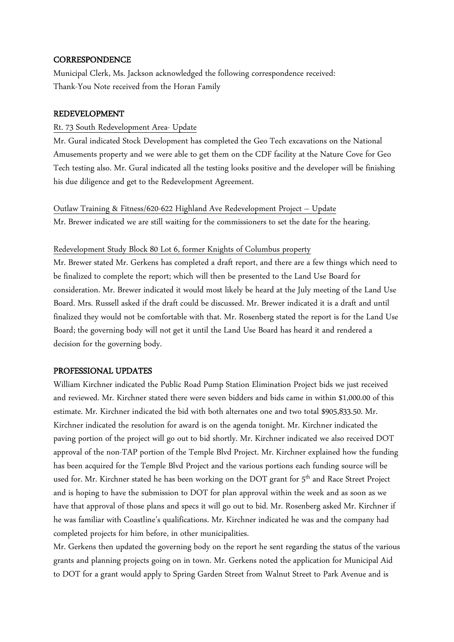#### **CORRESPONDENCE**

Municipal Clerk, Ms. Jackson acknowledged the following correspondence received: Thank-You Note received from the Horan Family

#### REDEVELOPMENT

# Rt. 73 South Redevelopment Area- Update

Mr. Gural indicated Stock Development has completed the Geo Tech excavations on the National Amusements property and we were able to get them on the CDF facility at the Nature Cove for Geo Tech testing also. Mr. Gural indicated all the testing looks positive and the developer will be finishing his due diligence and get to the Redevelopment Agreement.

#### Outlaw Training & Fitness/620-622 Highland Ave Redevelopment Project – Update

Mr. Brewer indicated we are still waiting for the commissioners to set the date for the hearing.

#### Redevelopment Study Block 80 Lot 6, former Knights of Columbus property

Mr. Brewer stated Mr. Gerkens has completed a draft report, and there are a few things which need to be finalized to complete the report; which will then be presented to the Land Use Board for consideration. Mr. Brewer indicated it would most likely be heard at the July meeting of the Land Use Board. Mrs. Russell asked if the draft could be discussed. Mr. Brewer indicated it is a draft and until finalized they would not be comfortable with that. Mr. Rosenberg stated the report is for the Land Use Board; the governing body will not get it until the Land Use Board has heard it and rendered a decision for the governing body.

#### PROFESSIONAL UPDATES

William Kirchner indicated the Public Road Pump Station Elimination Project bids we just received and reviewed. Mr. Kirchner stated there were seven bidders and bids came in within \$1,000.00 of this estimate. Mr. Kirchner indicated the bid with both alternates one and two total \$905,833.50. Mr. Kirchner indicated the resolution for award is on the agenda tonight. Mr. Kirchner indicated the paving portion of the project will go out to bid shortly. Mr. Kirchner indicated we also received DOT approval of the non-TAP portion of the Temple Blvd Project. Mr. Kirchner explained how the funding has been acquired for the Temple Blvd Project and the various portions each funding source will be used for. Mr. Kirchner stated he has been working on the DOT grant for 5<sup>th</sup> and Race Street Project and is hoping to have the submission to DOT for plan approval within the week and as soon as we have that approval of those plans and specs it will go out to bid. Mr. Rosenberg asked Mr. Kirchner if he was familiar with Coastline's qualifications. Mr. Kirchner indicated he was and the company had completed projects for him before, in other municipalities.

Mr. Gerkens then updated the governing body on the report he sent regarding the status of the various grants and planning projects going on in town. Mr. Gerkens noted the application for Municipal Aid to DOT for a grant would apply to Spring Garden Street from Walnut Street to Park Avenue and is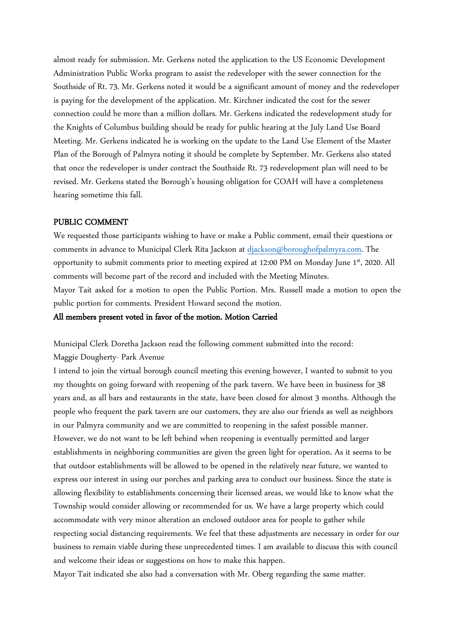almost ready for submission. Mr. Gerkens noted the application to the US Economic Development Administration Public Works program to assist the redeveloper with the sewer connection for the Southside of Rt. 73. Mr. Gerkens noted it would be a significant amount of money and the redeveloper is paying for the development of the application. Mr. Kirchner indicated the cost for the sewer connection could be more than a million dollars. Mr. Gerkens indicated the redevelopment study for the Knights of Columbus building should be ready for public hearing at the July Land Use Board Meeting. Mr. Gerkens indicated he is working on the update to the Land Use Element of the Master Plan of the Borough of Palmyra noting it should be complete by September. Mr. Gerkens also stated that once the redeveloper is under contract the Southside Rt. 73 redevelopment plan will need to be revised. Mr. Gerkens stated the Borough's housing obligation for COAH will have a completeness hearing sometime this fall.

#### PUBLIC COMMENT

We requested those participants wishing to have or make a Public comment, email their questions or comments in advance to Municipal Clerk Rita Jackson at djackson@boroughofpalmyra.com. The opportunity to submit comments prior to meeting expired at 12:00 PM on Monday June 1st, 2020. All comments will become part of the record and included with the Meeting Minutes. Mayor Tait asked for a motion to open the Public Portion. Mrs. Russell made a motion to open the public portion for comments. President Howard second the motion.

#### All members present voted in favor of the motion. Motion Carried

Municipal Clerk Doretha Jackson read the following comment submitted into the record:

#### Maggie Dougherty- Park Avenue

I intend to join the virtual borough council meeting this evening however, I wanted to submit to you my thoughts on going forward with reopening of the park tavern. We have been in business for 38 years and, as all bars and restaurants in the state, have been closed for almost 3 months. Although the people who frequent the park tavern are our customers, they are also our friends as well as neighbors in our Palmyra community and we are committed to reopening in the safest possible manner. However, we do not want to be left behind when reopening is eventually permitted and larger establishments in neighboring communities are given the green light for operation. As it seems to be that outdoor establishments will be allowed to be opened in the relatively near future, we wanted to express our interest in using our porches and parking area to conduct our business. Since the state is allowing flexibility to establishments concerning their licensed areas, we would like to know what the Township would consider allowing or recommended for us. We have a large property which could accommodate with very minor alteration an enclosed outdoor area for people to gather while respecting social distancing requirements. We feel that these adjustments are necessary in order for our business to remain viable during these unprecedented times. I am available to discuss this with council and welcome their ideas or suggestions on how to make this happen.

Mayor Tait indicated she also had a conversation with Mr. Oberg regarding the same matter.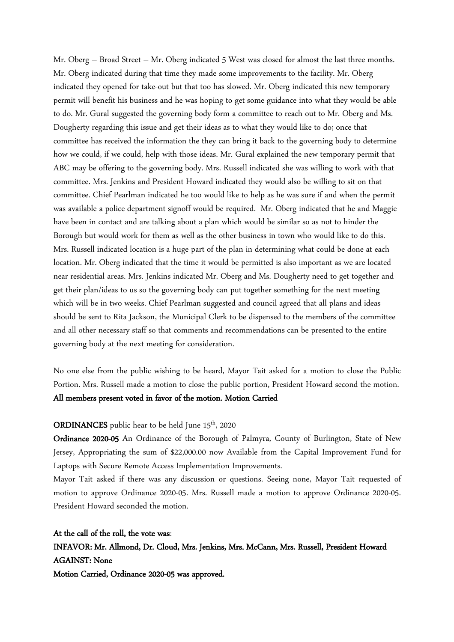Mr. Oberg – Broad Street – Mr. Oberg indicated 5 West was closed for almost the last three months. Mr. Oberg indicated during that time they made some improvements to the facility. Mr. Oberg indicated they opened for take-out but that too has slowed. Mr. Oberg indicated this new temporary permit will benefit his business and he was hoping to get some guidance into what they would be able to do. Mr. Gural suggested the governing body form a committee to reach out to Mr. Oberg and Ms. Dougherty regarding this issue and get their ideas as to what they would like to do; once that committee has received the information the they can bring it back to the governing body to determine how we could, if we could, help with those ideas. Mr. Gural explained the new temporary permit that ABC may be offering to the governing body. Mrs. Russell indicated she was willing to work with that committee. Mrs. Jenkins and President Howard indicated they would also be willing to sit on that committee. Chief Pearlman indicated he too would like to help as he was sure if and when the permit was available a police department signoff would be required. Mr. Oberg indicated that he and Maggie have been in contact and are talking about a plan which would be similar so as not to hinder the Borough but would work for them as well as the other business in town who would like to do this. Mrs. Russell indicated location is a huge part of the plan in determining what could be done at each location. Mr. Oberg indicated that the time it would be permitted is also important as we are located near residential areas. Mrs. Jenkins indicated Mr. Oberg and Ms. Dougherty need to get together and get their plan/ideas to us so the governing body can put together something for the next meeting which will be in two weeks. Chief Pearlman suggested and council agreed that all plans and ideas should be sent to Rita Jackson, the Municipal Clerk to be dispensed to the members of the committee and all other necessary staff so that comments and recommendations can be presented to the entire governing body at the next meeting for consideration.

No one else from the public wishing to be heard, Mayor Tait asked for a motion to close the Public Portion. Mrs. Russell made a motion to close the public portion, President Howard second the motion. All members present voted in favor of the motion. Motion Carried

#### **ORDINANCES** public hear to be held June  $15<sup>th</sup>$ , 2020

Ordinance 2020-05 An Ordinance of the Borough of Palmyra, County of Burlington, State of New Jersey, Appropriating the sum of \$22,000.00 now Available from the Capital Improvement Fund for Laptops with Secure Remote Access Implementation Improvements.

Mayor Tait asked if there was any discussion or questions. Seeing none, Mayor Tait requested of motion to approve Ordinance 2020-05. Mrs. Russell made a motion to approve Ordinance 2020-05. President Howard seconded the motion.

At the call of the roll, the vote was: INFAVOR: Mr. Allmond, Dr. Cloud, Mrs. Jenkins, Mrs. McCann, Mrs. Russell, President Howard AGAINST: None Motion Carried, Ordinance 2020-05 was approved.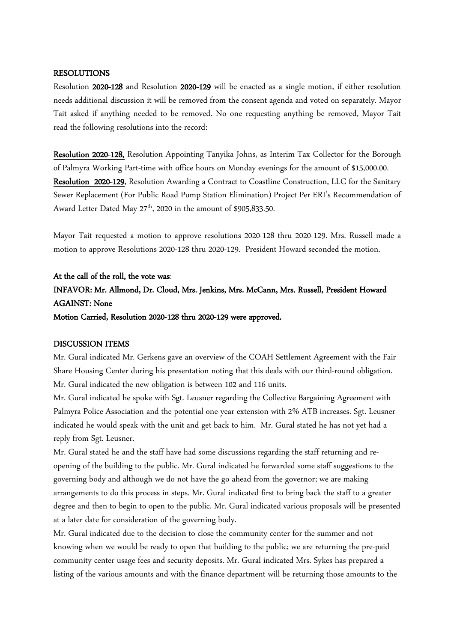#### RESOLUTIONS

Resolution 2020-128 and Resolution 2020-129 will be enacted as a single motion, if either resolution needs additional discussion it will be removed from the consent agenda and voted on separately. Mayor Tait asked if anything needed to be removed. No one requesting anything be removed, Mayor Tait read the following resolutions into the record:

Resolution 2020-128, Resolution Appointing Tanyika Johns, as Interim Tax Collector for the Borough of Palmyra Working Part-time with office hours on Monday evenings for the amount of \$15,000.00. Resolution 2020-129, Resolution Awarding a Contract to Coastline Construction, LLC for the Sanitary Sewer Replacement (For Public Road Pump Station Elimination) Project Per ERI's Recommendation of Award Letter Dated May 27<sup>th</sup>, 2020 in the amount of \$905,833.50.

Mayor Tait requested a motion to approve resolutions 2020-128 thru 2020-129. Mrs. Russell made a motion to approve Resolutions 2020-128 thru 2020-129. President Howard seconded the motion.

# At the call of the roll, the vote was:

# INFAVOR: Mr. Allmond, Dr. Cloud, Mrs. Jenkins, Mrs. McCann, Mrs. Russell, President Howard AGAINST: None

Motion Carried, Resolution 2020-128 thru 2020-129 were approved.

#### DISCUSSION ITEMS

Mr. Gural indicated Mr. Gerkens gave an overview of the COAH Settlement Agreement with the Fair Share Housing Center during his presentation noting that this deals with our third-round obligation. Mr. Gural indicated the new obligation is between 102 and 116 units.

Mr. Gural indicated he spoke with Sgt. Leusner regarding the Collective Bargaining Agreement with Palmyra Police Association and the potential one-year extension with 2% ATB increases. Sgt. Leusner indicated he would speak with the unit and get back to him. Mr. Gural stated he has not yet had a reply from Sgt. Leusner.

Mr. Gural stated he and the staff have had some discussions regarding the staff returning and reopening of the building to the public. Mr. Gural indicated he forwarded some staff suggestions to the governing body and although we do not have the go ahead from the governor; we are making arrangements to do this process in steps. Mr. Gural indicated first to bring back the staff to a greater degree and then to begin to open to the public. Mr. Gural indicated various proposals will be presented at a later date for consideration of the governing body.

Mr. Gural indicated due to the decision to close the community center for the summer and not knowing when we would be ready to open that building to the public; we are returning the pre-paid community center usage fees and security deposits. Mr. Gural indicated Mrs. Sykes has prepared a listing of the various amounts and with the finance department will be returning those amounts to the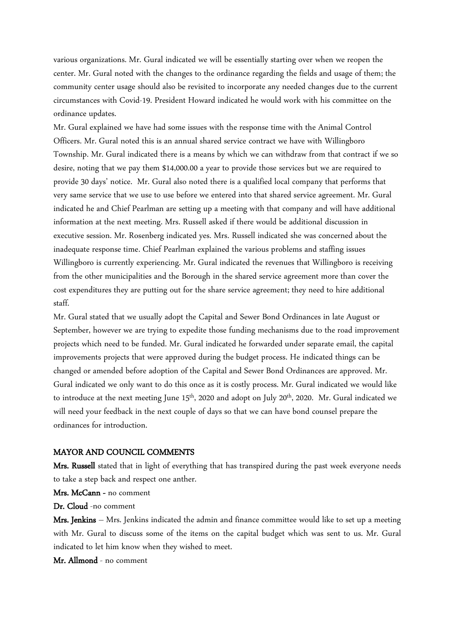various organizations. Mr. Gural indicated we will be essentially starting over when we reopen the center. Mr. Gural noted with the changes to the ordinance regarding the fields and usage of them; the community center usage should also be revisited to incorporate any needed changes due to the current circumstances with Covid-19. President Howard indicated he would work with his committee on the ordinance updates.

Mr. Gural explained we have had some issues with the response time with the Animal Control Officers. Mr. Gural noted this is an annual shared service contract we have with Willingboro Township. Mr. Gural indicated there is a means by which we can withdraw from that contract if we so desire, noting that we pay them \$14,000.00 a year to provide those services but we are required to provide 30 days' notice. Mr. Gural also noted there is a qualified local company that performs that very same service that we use to use before we entered into that shared service agreement. Mr. Gural indicated he and Chief Pearlman are setting up a meeting with that company and will have additional information at the next meeting. Mrs. Russell asked if there would be additional discussion in executive session. Mr. Rosenberg indicated yes. Mrs. Russell indicated she was concerned about the inadequate response time. Chief Pearlman explained the various problems and staffing issues Willingboro is currently experiencing. Mr. Gural indicated the revenues that Willingboro is receiving from the other municipalities and the Borough in the shared service agreement more than cover the cost expenditures they are putting out for the share service agreement; they need to hire additional staff.

Mr. Gural stated that we usually adopt the Capital and Sewer Bond Ordinances in late August or September, however we are trying to expedite those funding mechanisms due to the road improvement projects which need to be funded. Mr. Gural indicated he forwarded under separate email, the capital improvements projects that were approved during the budget process. He indicated things can be changed or amended before adoption of the Capital and Sewer Bond Ordinances are approved. Mr. Gural indicated we only want to do this once as it is costly process. Mr. Gural indicated we would like to introduce at the next meeting June 15<sup>th</sup>, 2020 and adopt on July 20<sup>th</sup>, 2020. Mr. Gural indicated we will need your feedback in the next couple of days so that we can have bond counsel prepare the ordinances for introduction.

#### MAYOR AND COUNCIL COMMENTS

Mrs. Russell stated that in light of everything that has transpired during the past week everyone needs to take a step back and respect one anther.

Mrs. McCann - no comment

Dr. Cloud -no comment

**Mrs. Jenkins** – Mrs. Jenkins indicated the admin and finance committee would like to set up a meeting with Mr. Gural to discuss some of the items on the capital budget which was sent to us. Mr. Gural indicated to let him know when they wished to meet.

Mr. Allmond - no comment